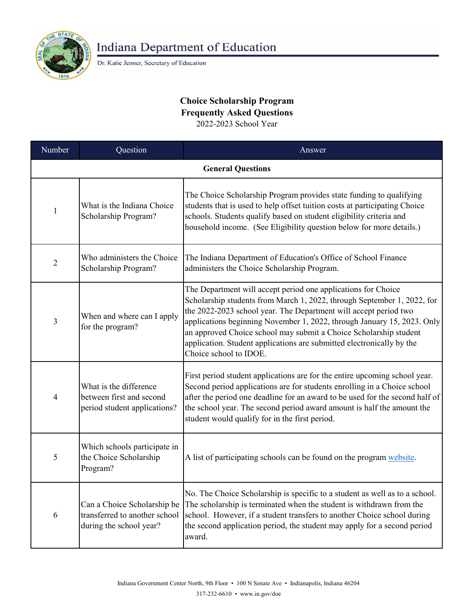

**Indiana Department of Education** 

Dr. Katie Jenner, Secretary of Education

## **Choice Scholarship Program Frequently Asked Questions** 2022-2023 School Year

Answer **General Questions**  $1$  What is the Indiana Choice Scholarship Program? The Choice Scholarship Program provides state funding to qualifying students that is used to help offset tuition costs at participating Choice schools. Students qualify based on student eligibility criteria and household income. (See Eligibility question below for more details.)  $2^{\text{Who} }$  administers the Choice Scholarship Program? The Indiana Department of Education's Office of School Finance administers the Choice Scholarship Program. Number **Question** Can a Choice Scholarship be transferred to another school during the school year? No. The Choice Scholarship is specific to a student as well as to a school. The scholarship is terminated when the student is withdrawn from the school. However, if a student transfers to another Choice school during the second application period, the student may apply for a second period award. The Department will accept period one applications for Choice Scholarship students from March 1, 2022, through September 1, 2022, for the 2022-2023 school year. The Department will accept period two applications beginning November 1, 2022, through January 15, 2023. Only an approved Choice school may submit a Choice Scholarship student application. Student applications are submitted electronically by the Choice school to IDOE. 4 What is the difference between first and second period student applications? First period student applications are for the entire upcoming school year. Second period applications are for students enrolling in a Choice school after the period one deadline for an award to be used for the second half of the school year. The second period award amount is half the amount the student would qualify for in the first period. 5 Which schools participate in the Choice Scholarship Program? [A list of participating schools can be found on the program website.](https://www.in.gov/doe/students/indiana-choice-scholarship-program/) 3 When and where can I apply for the program? 6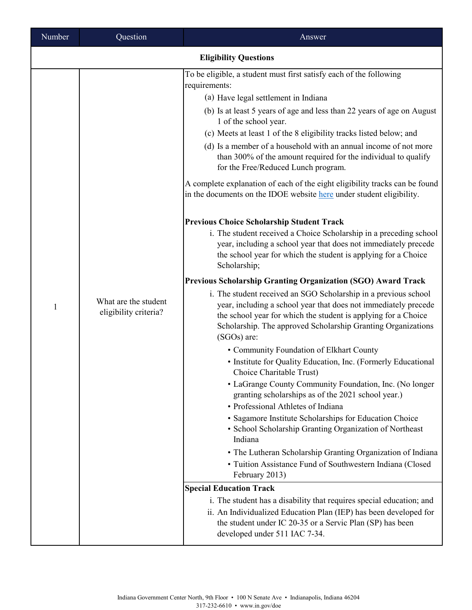| Number | Question                                      | Answer                                                                                                                                                                                                                                                                                                                                                                                                                                                                                                                                                                                                                                                                                                                                                                                                                                                                                                                                                                                                                                                                                                                                                                                                                                                                                                                                                                                                                                                                                                                                                                                                                                                                                                                                                                                                                                                              |  |  |
|--------|-----------------------------------------------|---------------------------------------------------------------------------------------------------------------------------------------------------------------------------------------------------------------------------------------------------------------------------------------------------------------------------------------------------------------------------------------------------------------------------------------------------------------------------------------------------------------------------------------------------------------------------------------------------------------------------------------------------------------------------------------------------------------------------------------------------------------------------------------------------------------------------------------------------------------------------------------------------------------------------------------------------------------------------------------------------------------------------------------------------------------------------------------------------------------------------------------------------------------------------------------------------------------------------------------------------------------------------------------------------------------------------------------------------------------------------------------------------------------------------------------------------------------------------------------------------------------------------------------------------------------------------------------------------------------------------------------------------------------------------------------------------------------------------------------------------------------------------------------------------------------------------------------------------------------------|--|--|
|        | <b>Eligibility Questions</b>                  |                                                                                                                                                                                                                                                                                                                                                                                                                                                                                                                                                                                                                                                                                                                                                                                                                                                                                                                                                                                                                                                                                                                                                                                                                                                                                                                                                                                                                                                                                                                                                                                                                                                                                                                                                                                                                                                                     |  |  |
| 1      | What are the student<br>eligibility criteria? | To be eligible, a student must first satisfy each of the following<br>requirements:<br>(a) Have legal settlement in Indiana<br>(b) Is at least 5 years of age and less than 22 years of age on August<br>1 of the school year.<br>(c) Meets at least 1 of the 8 eligibility tracks listed below; and<br>(d) Is a member of a household with an annual income of not more<br>than 300% of the amount required for the individual to qualify<br>for the Free/Reduced Lunch program.<br>A complete explanation of each of the eight eligibility tracks can be found<br>in the documents on the IDOE website here under student eligibility.<br><b>Previous Choice Scholarship Student Track</b><br>i. The student received a Choice Scholarship in a preceding school<br>year, including a school year that does not immediately precede<br>the school year for which the student is applying for a Choice<br>Scholarship;<br><b>Previous Scholarship Granting Organization (SGO) Award Track</b><br>i. The student received an SGO Scholarship in a previous school<br>year, including a school year that does not immediately precede<br>the school year for which the student is applying for a Choice<br>Scholarship. The approved Scholarship Granting Organizations<br>(SGOs) are:<br>• Community Foundation of Elkhart County<br>• Institute for Quality Education, Inc. (Formerly Educational<br>Choice Charitable Trust)<br>• LaGrange County Community Foundation, Inc. (No longer<br>granting scholarships as of the 2021 school year.)<br>• Professional Athletes of Indiana<br>· Sagamore Institute Scholarships for Education Choice<br>• School Scholarship Granting Organization of Northeast<br>Indiana<br>• The Lutheran Scholarship Granting Organization of Indiana<br>• Tuition Assistance Fund of Southwestern Indiana (Closed<br>February 2013) |  |  |
|        |                                               | <b>Special Education Track</b><br>i. The student has a disability that requires special education; and<br>ii. An Individualized Education Plan (IEP) has been developed for<br>the student under IC 20-35 or a Servic Plan (SP) has been                                                                                                                                                                                                                                                                                                                                                                                                                                                                                                                                                                                                                                                                                                                                                                                                                                                                                                                                                                                                                                                                                                                                                                                                                                                                                                                                                                                                                                                                                                                                                                                                                            |  |  |
|        |                                               | developed under 511 IAC 7-34.                                                                                                                                                                                                                                                                                                                                                                                                                                                                                                                                                                                                                                                                                                                                                                                                                                                                                                                                                                                                                                                                                                                                                                                                                                                                                                                                                                                                                                                                                                                                                                                                                                                                                                                                                                                                                                       |  |  |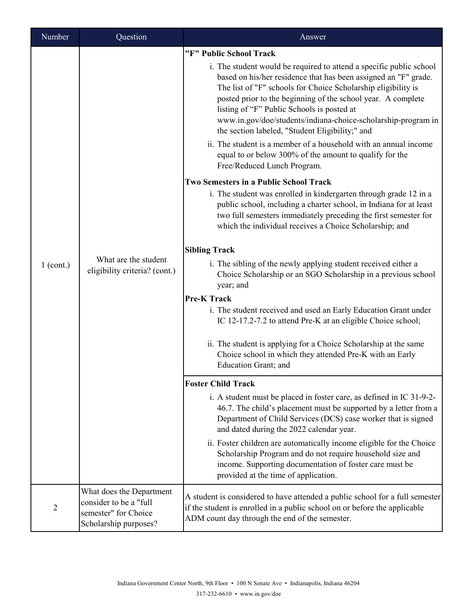| Number    | Question                                                                                            | Answer                                                                                                                                                                                                                                                                                                                                                                                                                                                                                                                                                                                                                                                                                                                                                   |
|-----------|-----------------------------------------------------------------------------------------------------|----------------------------------------------------------------------------------------------------------------------------------------------------------------------------------------------------------------------------------------------------------------------------------------------------------------------------------------------------------------------------------------------------------------------------------------------------------------------------------------------------------------------------------------------------------------------------------------------------------------------------------------------------------------------------------------------------------------------------------------------------------|
| 1 (cont.) | What are the student<br>eligibility criteria? (cont.)                                               | "F" Public School Track<br>i. The student would be required to attend a specific public school<br>based on his/her residence that has been assigned an "F" grade.<br>The list of "F" schools for Choice Scholarship eligibility is<br>posted prior to the beginning of the school year. A complete<br>listing of "F" Public Schools is posted at<br>www.in.gov/doe/students/indiana-choice-scholarship-program in<br>the section labeled, "Student Eligibility;" and<br>ii. The student is a member of a household with an annual income<br>equal to or below 300% of the amount to qualify for the<br>Free/Reduced Lunch Program.<br><b>Two Semesters in a Public School Track</b><br>i. The student was enrolled in kindergarten through grade 12 in a |
|           |                                                                                                     | public school, including a charter school, in Indiana for at least<br>two full semesters immediately preceding the first semester for<br>which the individual receives a Choice Scholarship; and<br><b>Sibling Track</b><br>i. The sibling of the newly applying student received either a<br>Choice Scholarship or an SGO Scholarship in a previous school<br>year; and<br><b>Pre-K Track</b><br>i. The student received and used an Early Education Grant under<br>IC 12-17.2-7.2 to attend Pre-K at an eligible Choice school;<br>ii. The student is applying for a Choice Scholarship at the same<br>Choice school in which they attended Pre-K with an Early<br>Education Grant; and                                                                |
|           |                                                                                                     | <b>Foster Child Track</b>                                                                                                                                                                                                                                                                                                                                                                                                                                                                                                                                                                                                                                                                                                                                |
|           |                                                                                                     | i. A student must be placed in foster care, as defined in IC 31-9-2-<br>46.7. The child's placement must be supported by a letter from a<br>Department of Child Services (DCS) case worker that is signed<br>and dated during the 2022 calendar year.                                                                                                                                                                                                                                                                                                                                                                                                                                                                                                    |
|           |                                                                                                     | ii. Foster children are automatically income eligible for the Choice<br>Scholarship Program and do not require household size and<br>income. Supporting documentation of foster care must be<br>provided at the time of application.                                                                                                                                                                                                                                                                                                                                                                                                                                                                                                                     |
| 2         | What does the Department<br>consider to be a "full<br>semester" for Choice<br>Scholarship purposes? | A student is considered to have attended a public school for a full semester<br>if the student is enrolled in a public school on or before the applicable<br>ADM count day through the end of the semester.                                                                                                                                                                                                                                                                                                                                                                                                                                                                                                                                              |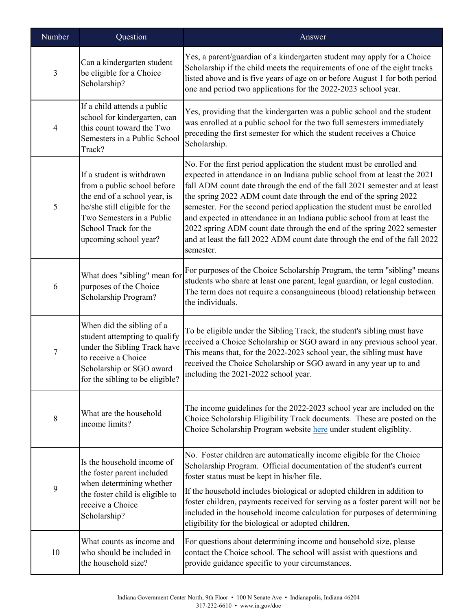| Number           | Question                                                                                                                                                                                                | Answer                                                                                                                                                                                                                                                                                                                                                                                                                                                                                                                                                                                                                             |
|------------------|---------------------------------------------------------------------------------------------------------------------------------------------------------------------------------------------------------|------------------------------------------------------------------------------------------------------------------------------------------------------------------------------------------------------------------------------------------------------------------------------------------------------------------------------------------------------------------------------------------------------------------------------------------------------------------------------------------------------------------------------------------------------------------------------------------------------------------------------------|
| 3                | Can a kindergarten student<br>be eligible for a Choice<br>Scholarship?                                                                                                                                  | Yes, a parent/guardian of a kindergarten student may apply for a Choice<br>Scholarship if the child meets the requirements of one of the eight tracks<br>listed above and is five years of age on or before August 1 for both period<br>one and period two applications for the 2022-2023 school year.                                                                                                                                                                                                                                                                                                                             |
| $\overline{4}$   | If a child attends a public<br>school for kindergarten, can<br>this count toward the Two<br>Semesters in a Public School<br>Track?                                                                      | Yes, providing that the kindergarten was a public school and the student<br>was enrolled at a public school for the two full semesters immediately<br>preceding the first semester for which the student receives a Choice<br>Scholarship.                                                                                                                                                                                                                                                                                                                                                                                         |
| 5                | If a student is withdrawn<br>from a public school before<br>the end of a school year, is<br>he/she still eligible for the<br>Two Semesters in a Public<br>School Track for the<br>upcoming school year? | No. For the first period application the student must be enrolled and<br>expected in attendance in an Indiana public school from at least the 2021<br>fall ADM count date through the end of the fall 2021 semester and at least<br>the spring 2022 ADM count date through the end of the spring 2022<br>semester. For the second period application the student must be enrolled<br>and expected in attendance in an Indiana public school from at least the<br>2022 spring ADM count date through the end of the spring 2022 semester<br>and at least the fall 2022 ADM count date through the end of the fall 2022<br>semester. |
| 6                | What does "sibling" mean for<br>purposes of the Choice<br>Scholarship Program?                                                                                                                          | For purposes of the Choice Scholarship Program, the term "sibling" means<br>students who share at least one parent, legal guardian, or legal custodian.<br>The term does not require a consanguineous (blood) relationship between<br>the individuals.                                                                                                                                                                                                                                                                                                                                                                             |
| $\boldsymbol{7}$ | When did the sibling of a<br>student attempting to qualify<br>under the Sibling Track have<br>to receive a Choice<br>Scholarship or SGO award<br>for the sibling to be eligible?                        | To be eligible under the Sibling Track, the student's sibling must have<br>received a Choice Scholarship or SGO award in any previous school year.<br>This means that, for the 2022-2023 school year, the sibling must have<br>received the Choice Scholarship or SGO award in any year up to and<br>including the 2021-2022 school year.                                                                                                                                                                                                                                                                                          |
| $8\,$            | What are the household<br>income limits?                                                                                                                                                                | The income guidelines for the 2022-2023 school year are included on the<br>Choice Scholarship Eligibility Track documents. These are posted on the<br>Choice Scholarship Program website here under student eligiblity.                                                                                                                                                                                                                                                                                                                                                                                                            |
| 9                | Is the household income of<br>the foster parent included<br>when determining whether<br>the foster child is eligible to<br>receive a Choice<br>Scholarship?                                             | No. Foster children are automatically income eligible for the Choice<br>Scholarship Program. Official documentation of the student's current<br>foster status must be kept in his/her file.<br>If the household includes biological or adopted children in addition to<br>foster children, payments received for serving as a foster parent will not be<br>included in the household income calculation for purposes of determining<br>eligibility for the biological or adopted children.                                                                                                                                         |
| 10               | What counts as income and<br>who should be included in<br>the household size?                                                                                                                           | For questions about determining income and household size, please<br>contact the Choice school. The school will assist with questions and<br>provide guidance specific to your circumstances.                                                                                                                                                                                                                                                                                                                                                                                                                                      |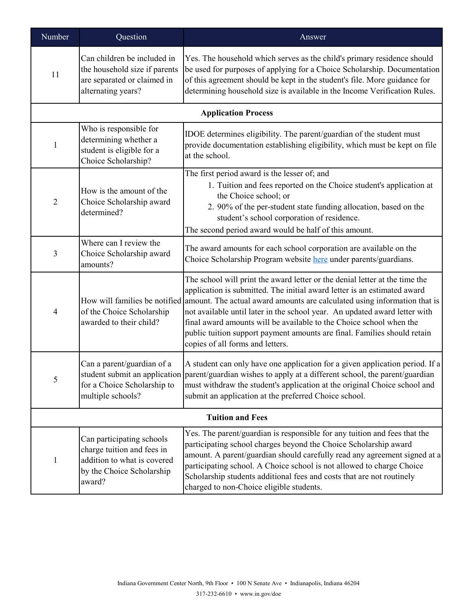| Number                  | Question                                                                                                                      | Answer                                                                                                                                                                                                                                                                                                                                                                                                                                                                                                                                  |
|-------------------------|-------------------------------------------------------------------------------------------------------------------------------|-----------------------------------------------------------------------------------------------------------------------------------------------------------------------------------------------------------------------------------------------------------------------------------------------------------------------------------------------------------------------------------------------------------------------------------------------------------------------------------------------------------------------------------------|
| 11                      | Can children be included in<br>the household size if parents<br>are separated or claimed in<br>alternating years?             | Yes. The household which serves as the child's primary residence should<br>be used for purposes of applying for a Choice Scholarship. Documentation<br>of this agreement should be kept in the student's file. More guidance for<br>determining household size is available in the Income Verification Rules.                                                                                                                                                                                                                           |
|                         |                                                                                                                               | <b>Application Process</b>                                                                                                                                                                                                                                                                                                                                                                                                                                                                                                              |
| $\mathbf{1}$            | Who is responsible for<br>determining whether a<br>student is eligible for a<br>Choice Scholarship?                           | IDOE determines eligibility. The parent/guardian of the student must<br>provide documentation establishing eligibility, which must be kept on file<br>at the school.                                                                                                                                                                                                                                                                                                                                                                    |
| $\overline{2}$          | How is the amount of the<br>Choice Scholarship award<br>determined?                                                           | The first period award is the lesser of; and<br>1. Tuition and fees reported on the Choice student's application at<br>the Choice school; or<br>2. 90% of the per-student state funding allocation, based on the<br>student's school corporation of residence.<br>The second period award would be half of this amount.                                                                                                                                                                                                                 |
| 3                       | Where can I review the<br>Choice Scholarship award<br>amounts?                                                                | The award amounts for each school corporation are available on the<br>Choice Scholarship Program website here under parents/guardians.                                                                                                                                                                                                                                                                                                                                                                                                  |
| 4                       | of the Choice Scholarship<br>awarded to their child?                                                                          | The school will print the award letter or the denial letter at the time the<br>application is submitted. The initial award letter is an estimated award<br>How will families be notified amount. The actual award amounts are calculated using information that is<br>not available until later in the school year. An updated award letter with<br>final award amounts will be available to the Choice school when the<br>public tuition support payment amounts are final. Families should retain<br>copies of all forms and letters. |
| 5                       | Can a parent/guardian of a<br>for a Choice Scholarship to<br>multiple schools?                                                | A student can only have one application for a given application period. If a<br>student submit an application parent/guardian wishes to apply at a different school, the parent/guardian<br>must withdraw the student's application at the original Choice school and<br>submit an application at the preferred Choice school.                                                                                                                                                                                                          |
| <b>Tuition and Fees</b> |                                                                                                                               |                                                                                                                                                                                                                                                                                                                                                                                                                                                                                                                                         |
| 1                       | Can participating schools<br>charge tuition and fees in<br>addition to what is covered<br>by the Choice Scholarship<br>award? | Yes. The parent/guardian is responsible for any tuition and fees that the<br>participating school charges beyond the Choice Scholarship award<br>amount. A parent/guardian should carefully read any agreement signed at a<br>participating school. A Choice school is not allowed to charge Choice<br>Scholarship students additional fees and costs that are not routinely<br>charged to non-Choice eligible students.                                                                                                                |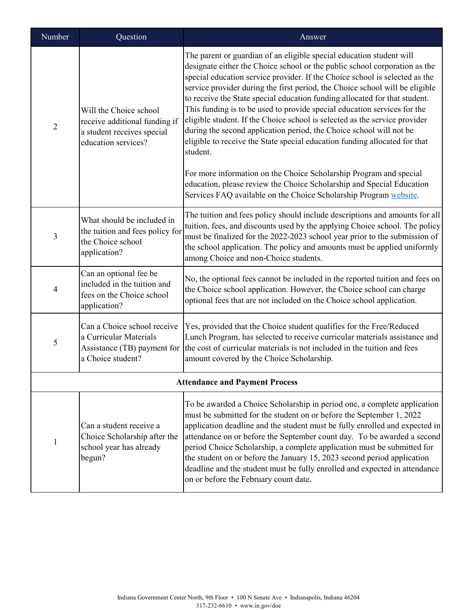| Number                                | Question                                                                                                     | Answer                                                                                                                                                                                                                                                                                                                                                                                                                                                                                                                                                                                                                                                                                                                     |  |
|---------------------------------------|--------------------------------------------------------------------------------------------------------------|----------------------------------------------------------------------------------------------------------------------------------------------------------------------------------------------------------------------------------------------------------------------------------------------------------------------------------------------------------------------------------------------------------------------------------------------------------------------------------------------------------------------------------------------------------------------------------------------------------------------------------------------------------------------------------------------------------------------------|--|
| $\overline{2}$                        | Will the Choice school<br>receive additional funding if<br>a student receives special<br>education services? | The parent or guardian of an eligible special education student will<br>designate either the Choice school or the public school corporation as the<br>special education service provider. If the Choice school is selected as the<br>service provider during the first period, the Choice school will be eligible<br>to receive the State special education funding allocated for that student.<br>This funding is to be used to provide special education services for the<br>eligible student. If the Choice school is selected as the service provider<br>during the second application period, the Choice school will not be<br>eligible to receive the State special education funding allocated for that<br>student. |  |
|                                       |                                                                                                              | For more information on the Choice Scholarship Program and special<br>education, please review the Choice Scholarship and Special Education<br>Services FAQ available on the Choice Scholarship Program website.                                                                                                                                                                                                                                                                                                                                                                                                                                                                                                           |  |
| 3                                     | What should be included in<br>the tuition and fees policy for<br>the Choice school<br>application?           | The tuition and fees policy should include descriptions and amounts for all<br>tuition, fees, and discounts used by the applying Choice school. The policy<br>must be finalized for the 2022-2023 school year prior to the submission of<br>the school application. The policy and amounts must be applied uniformly<br>among Choice and non-Choice students.                                                                                                                                                                                                                                                                                                                                                              |  |
| 4                                     | Can an optional fee be<br>included in the tuition and<br>fees on the Choice school<br>application?           | No, the optional fees cannot be included in the reported tuition and fees on<br>the Choice school application. However, the Choice school can charge<br>optional fees that are not included on the Choice school application.                                                                                                                                                                                                                                                                                                                                                                                                                                                                                              |  |
| 5                                     | Can a Choice school receive<br>a Curricular Materials<br>a Choice student?                                   | Yes, provided that the Choice student qualifies for the Free/Reduced<br>Lunch Program, has selected to receive curricular materials assistance and<br>Assistance (TB) payment for the cost of curricular materials is not included in the tuition and fees<br>amount covered by the Choice Scholarship.                                                                                                                                                                                                                                                                                                                                                                                                                    |  |
| <b>Attendance and Payment Process</b> |                                                                                                              |                                                                                                                                                                                                                                                                                                                                                                                                                                                                                                                                                                                                                                                                                                                            |  |
| 1                                     | Can a student receive a<br>Choice Scholarship after the<br>school year has already<br>begun?                 | To be awarded a Choice Scholarship in period one, a complete application<br>must be submitted for the student on or before the September 1, 2022<br>application deadline and the student must be fully enrolled and expected in<br>attendance on or before the September count day. To be awarded a second<br>period Choice Scholarship, a complete application must be submitted for<br>the student on or before the January 15, 2023 second period application<br>deadline and the student must be fully enrolled and expected in attendance<br>on or before the February count date.                                                                                                                                    |  |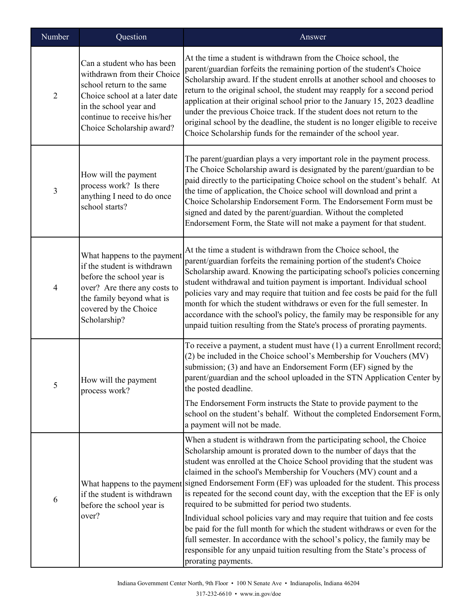| Number         | Question                                                                                                                                                                                                      | Answer                                                                                                                                                                                                                                                                                                                                                                                                                                                                                                                                                                                                                                                                                              |
|----------------|---------------------------------------------------------------------------------------------------------------------------------------------------------------------------------------------------------------|-----------------------------------------------------------------------------------------------------------------------------------------------------------------------------------------------------------------------------------------------------------------------------------------------------------------------------------------------------------------------------------------------------------------------------------------------------------------------------------------------------------------------------------------------------------------------------------------------------------------------------------------------------------------------------------------------------|
| $\overline{2}$ | Can a student who has been<br>withdrawn from their Choice<br>school return to the same<br>Choice school at a later date<br>in the school year and<br>continue to receive his/her<br>Choice Scholarship award? | At the time a student is withdrawn from the Choice school, the<br>parent/guardian forfeits the remaining portion of the student's Choice<br>Scholarship award. If the student enrolls at another school and chooses to<br>return to the original school, the student may reapply for a second period<br>application at their original school prior to the January 15, 2023 deadline<br>under the previous Choice track. If the student does not return to the<br>original school by the deadline, the student is no longer eligible to receive<br>Choice Scholarship funds for the remainder of the school year.                                                                                    |
| 3              | How will the payment<br>process work? Is there<br>anything I need to do once<br>school starts?                                                                                                                | The parent/guardian plays a very important role in the payment process.<br>The Choice Scholarship award is designated by the parent/guardian to be<br>paid directly to the participating Choice school on the student's behalf. At<br>the time of application, the Choice school will download and print a<br>Choice Scholarship Endorsement Form. The Endorsement Form must be<br>signed and dated by the parent/guardian. Without the completed<br>Endorsement Form, the State will not make a payment for that student.                                                                                                                                                                          |
| 4              | What happens to the payment<br>if the student is withdrawn<br>before the school year is<br>over? Are there any costs to<br>the family beyond what is<br>covered by the Choice<br>Scholarship?                 | At the time a student is withdrawn from the Choice school, the<br>parent/guardian forfeits the remaining portion of the student's Choice<br>Scholarship award. Knowing the participating school's policies concerning<br>student withdrawal and tuition payment is important. Individual school<br>policies vary and may require that tuition and fee costs be paid for the full<br>month for which the student withdraws or even for the full semester. In<br>accordance with the school's policy, the family may be responsible for any<br>unpaid tuition resulting from the State's process of prorating payments.                                                                               |
| 5              | How will the payment<br>process work?                                                                                                                                                                         | To receive a payment, a student must have (1) a current Enrollment record;<br>(2) be included in the Choice school's Membership for Vouchers (MV)<br>submission; (3) and have an Endorsement Form (EF) signed by the<br>parent/guardian and the school uploaded in the STN Application Center by<br>the posted deadline.<br>The Endorsement Form instructs the State to provide payment to the<br>school on the student's behalf. Without the completed Endorsement Form,<br>a payment will not be made.                                                                                                                                                                                            |
| 6              | if the student is withdrawn<br>before the school year is<br>over?                                                                                                                                             | When a student is withdrawn from the participating school, the Choice<br>Scholarship amount is prorated down to the number of days that the<br>student was enrolled at the Choice School providing that the student was<br>claimed in the school's Membership for Vouchers (MV) count and a<br>What happens to the payment signed Endorsement Form (EF) was uploaded for the student. This process<br>is repeated for the second count day, with the exception that the EF is only<br>required to be submitted for period two students.<br>Individual school policies vary and may require that tuition and fee costs<br>be paid for the full month for which the student withdraws or even for the |
|                |                                                                                                                                                                                                               | full semester. In accordance with the school's policy, the family may be<br>responsible for any unpaid tuition resulting from the State's process of<br>prorating payments.                                                                                                                                                                                                                                                                                                                                                                                                                                                                                                                         |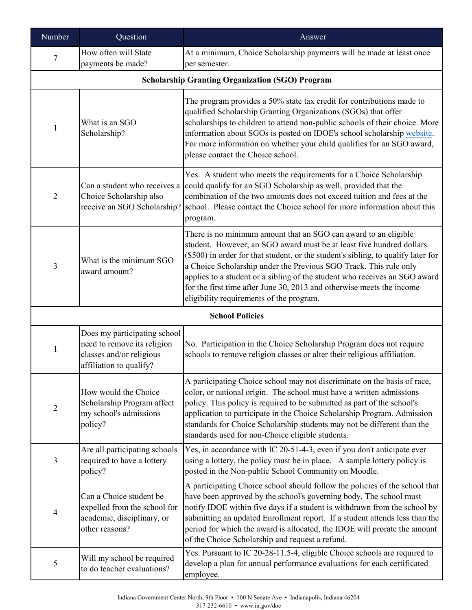| Number         | Question                                                                                                           | Answer                                                                                                                                                                                                                                                                                                                                                                                                                                                                                               |
|----------------|--------------------------------------------------------------------------------------------------------------------|------------------------------------------------------------------------------------------------------------------------------------------------------------------------------------------------------------------------------------------------------------------------------------------------------------------------------------------------------------------------------------------------------------------------------------------------------------------------------------------------------|
| 7              | How often will State<br>payments be made?                                                                          | At a minimum, Choice Scholarship payments will be made at least once<br>per semester.                                                                                                                                                                                                                                                                                                                                                                                                                |
|                |                                                                                                                    | <b>Scholarship Granting Organization (SGO) Program</b>                                                                                                                                                                                                                                                                                                                                                                                                                                               |
| 1              | What is an SGO<br>Scholarship?                                                                                     | The program provides a 50% state tax credit for contributions made to<br>qualified Scholarship Granting Organizations (SGOs) that offer<br>scholarships to children to attend non-public schools of their choice. More<br>information about SGOs is posted on IDOE's school scholarship website.<br>For more information on whether your child qualifies for an SGO award,<br>please contact the Choice school.                                                                                      |
| $\overline{2}$ | Can a student who receives a<br>Choice Scholarship also<br>receive an SGO Scholarship?                             | Yes. A student who meets the requirements for a Choice Scholarship<br>could qualify for an SGO Scholarship as well, provided that the<br>combination of the two amounts does not exceed tuition and fees at the<br>school. Please contact the Choice school for more information about this<br>program.                                                                                                                                                                                              |
| 3              | What is the minimum SGO<br>award amount?                                                                           | There is no minimum amount that an SGO can award to an eligible<br>student. However, an SGO award must be at least five hundred dollars<br>(\$500) in order for that student, or the student's sibling, to qualify later for<br>a Choice Scholarship under the Previous SGO Track. This rule only<br>applies to a student or a sibling of the student who receives an SGO award<br>for the first time after June 30, 2013 and otherwise meets the income<br>eligibility requirements of the program. |
|                |                                                                                                                    | <b>School Policies</b>                                                                                                                                                                                                                                                                                                                                                                                                                                                                               |
| $\mathbf{1}$   | Does my participating school<br>need to remove its religion<br>classes and/or religious<br>affiliation to qualify? | No. Participation in the Choice Scholarship Program does not require<br>schools to remove religion classes or alter their religious affiliation.                                                                                                                                                                                                                                                                                                                                                     |
| $\mathbf{2}$   | How would the Choice<br>Scholarship Program affect<br>my school's admissions<br>policy?                            | A participating Choice school may not discriminate on the basis of race,<br>color, or national origin. The school must have a written admissions<br>policy. This policy is required to be submitted as part of the school's<br>application to participate in the Choice Scholarship Program. Admission<br>standards for Choice Scholarship students may not be different than the<br>standards used for non-Choice eligible students.                                                                |
| 3              | Are all participating schools<br>required to have a lottery<br>policy?                                             | Yes, in accordance with IC 20-51-4-3, even if you don't anticipate ever<br>using a lottery, the policy must be in place. A sample lottery policy is<br>posted in the Non-public School Community on Moodle.                                                                                                                                                                                                                                                                                          |
| $\overline{4}$ | Can a Choice student be<br>expelled from the school for<br>academic, disciplinary, or<br>other reasons?            | A participating Choice school should follow the policies of the school that<br>have been approved by the school's governing body. The school must<br>notify IDOE within five days if a student is withdrawn from the school by<br>submitting an updated Enrollment report. If a student attends less than the<br>period for which the award is allocated, the IDOE will prorate the amount<br>of the Choice Scholarship and request a refund.                                                        |
| 5              | Will my school be required<br>to do teacher evaluations?                                                           | Yes. Pursuant to IC 20-28-11.5-4, eligible Choice schools are required to<br>develop a plan for annual performance evaluations for each certificated<br>employee.                                                                                                                                                                                                                                                                                                                                    |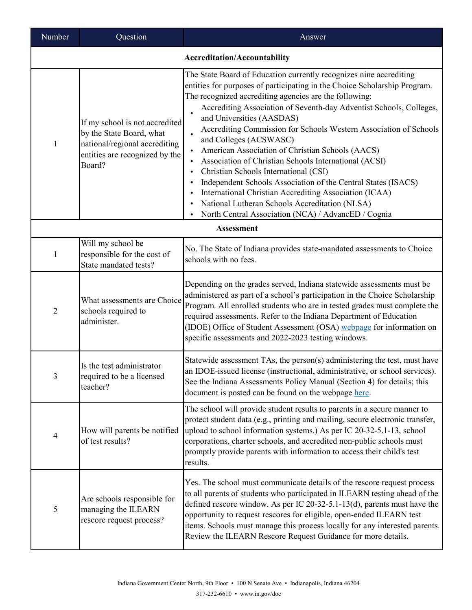| Number         | Question                                                                                                                                | Answer                                                                                                                                                                                                                                                                                                                                                                                                                                                                                                                                                                                                                                                                                                                                                                                                              |  |  |
|----------------|-----------------------------------------------------------------------------------------------------------------------------------------|---------------------------------------------------------------------------------------------------------------------------------------------------------------------------------------------------------------------------------------------------------------------------------------------------------------------------------------------------------------------------------------------------------------------------------------------------------------------------------------------------------------------------------------------------------------------------------------------------------------------------------------------------------------------------------------------------------------------------------------------------------------------------------------------------------------------|--|--|
|                | <b>Accreditation/Accountability</b>                                                                                                     |                                                                                                                                                                                                                                                                                                                                                                                                                                                                                                                                                                                                                                                                                                                                                                                                                     |  |  |
| 1              | If my school is not accredited<br>by the State Board, what<br>national/regional accrediting<br>entities are recognized by the<br>Board? | The State Board of Education currently recognizes nine accrediting<br>entities for purposes of participating in the Choice Scholarship Program.<br>The recognized accrediting agencies are the following:<br>Accrediting Association of Seventh-day Adventist Schools, Colleges,<br>and Universities (AASDAS)<br>Accrediting Commission for Schools Western Association of Schools<br>$\bullet$<br>and Colleges (ACSWASC)<br>American Association of Christian Schools (AACS)<br>Association of Christian Schools International (ACSI)<br>Christian Schools International (CSI)<br>Independent Schools Association of the Central States (ISACS)<br>International Christian Accrediting Association (ICAA)<br>National Lutheran Schools Accreditation (NLSA)<br>North Central Association (NCA) / AdvancED / Cognia |  |  |
|                |                                                                                                                                         | <b>Assessment</b>                                                                                                                                                                                                                                                                                                                                                                                                                                                                                                                                                                                                                                                                                                                                                                                                   |  |  |
| 1              | Will my school be<br>responsible for the cost of<br>State mandated tests?                                                               | No. The State of Indiana provides state-mandated assessments to Choice<br>schools with no fees.                                                                                                                                                                                                                                                                                                                                                                                                                                                                                                                                                                                                                                                                                                                     |  |  |
| $\overline{2}$ | What assessments are Choice<br>schools required to<br>administer.                                                                       | Depending on the grades served, Indiana statewide assessments must be<br>administered as part of a school's participation in the Choice Scholarship<br>Program. All enrolled students who are in tested grades must complete the<br>required assessments. Refer to the Indiana Department of Education<br>(IDOE) Office of Student Assessment (OSA) webpage for information on<br>specific assessments and 2022-2023 testing windows.                                                                                                                                                                                                                                                                                                                                                                               |  |  |
| 3              | Is the test administrator<br>required to be a licensed<br>teacher?                                                                      | Statewide assessment TAs, the person(s) administering the test, must have<br>an IDOE-issued license (instructional, administrative, or school services).<br>See the Indiana Assessments Policy Manual (Section 4) for details; this<br>document is posted can be found on the webpage here.                                                                                                                                                                                                                                                                                                                                                                                                                                                                                                                         |  |  |
| $\overline{4}$ | How will parents be notified<br>of test results?                                                                                        | The school will provide student results to parents in a secure manner to<br>protect student data (e.g., printing and mailing, secure electronic transfer,<br>upload to school information systems.) As per IC 20-32-5.1-13, school<br>corporations, charter schools, and accredited non-public schools must<br>promptly provide parents with information to access their child's test<br>results.                                                                                                                                                                                                                                                                                                                                                                                                                   |  |  |
| 5              | Are schools responsible for<br>managing the ILEARN<br>rescore request process?                                                          | Yes. The school must communicate details of the rescore request process<br>to all parents of students who participated in ILEARN testing ahead of the<br>defined rescore window. As per IC 20-32-5.1-13(d), parents must have the<br>opportunity to request rescores for eligible, open-ended ILEARN test<br>items. Schools must manage this process locally for any interested parents.<br>Review the ILEARN Rescore Request Guidance for more details.                                                                                                                                                                                                                                                                                                                                                            |  |  |